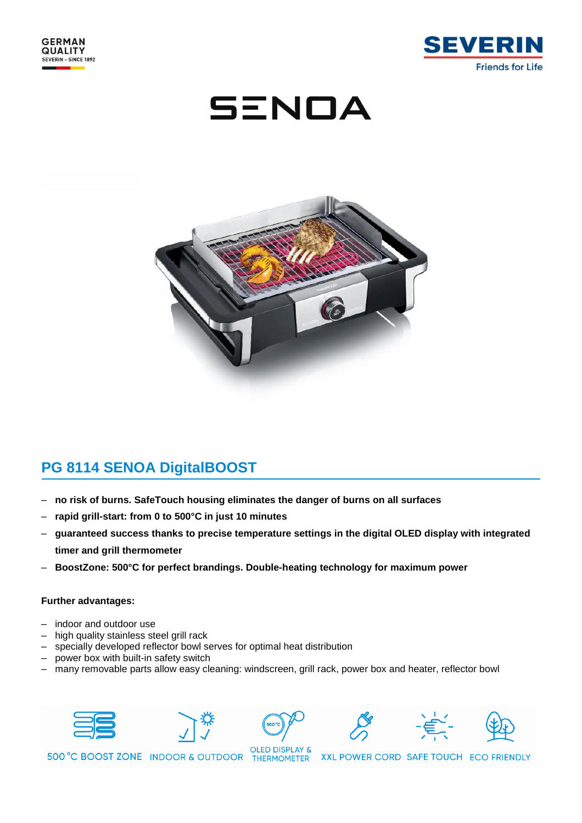

SENOA



## **PG 8114 SENOA DigitalBOOST**

- **no risk of burns. SafeTouch housing eliminates the danger of burns on all surfaces**
- **rapid grill-start: from 0 to 500°C in just 10 minutes**
- **guaranteed success thanks to precise temperature settings in the digital OLED display with integrated timer and grill thermometer**
- **BoostZone: 500°C for perfect brandings. Double-heating technology for maximum power**

## **Further advantages:**

- indoor and outdoor use
- high quality stainless steel grill rack
- specially developed reflector bowl serves for optimal heat distribution
- power box with built-in safety switch
- many removable parts allow easy cleaning: windscreen, grill rack, power box and heater, reflector bowl











500 °C BOOST ZONE INDOOR & OUTDOOR THERMOMETER

XXL POWER CORD SAFE TOUCH ECO FRIENDLY